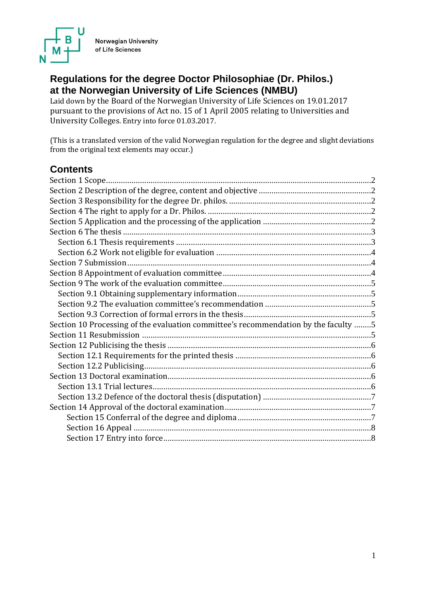

Norwegian University of Life Sciences

# **Regulations for the degree Doctor Philosophiae (Dr. Philos.) at the Norwegian University of Life Sciences (NMBU)**

Laid down by the Board of the Norwegian University of Life Sciences on 19.01.2017 pursuant to the provisions of Act no. 15 of 1 April 2005 relating to Universities and University Colleges. Entry into force 01.03.2017.

(This is a translated version of the valid Norwegian regulation for the degree and slight deviations from the original text elements may occur.)

# **Contents**

| Section 10 Processing of the evaluation committee's recommendation by the faculty 5 |  |
|-------------------------------------------------------------------------------------|--|
|                                                                                     |  |
|                                                                                     |  |
|                                                                                     |  |
|                                                                                     |  |
|                                                                                     |  |
|                                                                                     |  |
|                                                                                     |  |
|                                                                                     |  |
|                                                                                     |  |
|                                                                                     |  |
|                                                                                     |  |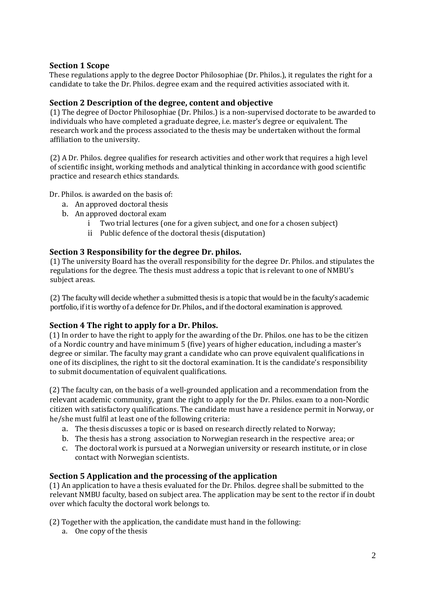# <span id="page-1-0"></span>**Section 1 Scope**

These regulations apply to the degree Doctor Philosophiae (Dr. Philos.), it regulates the right for a candidate to take the Dr. Philos. degree exam and the required activities associated with it.

# <span id="page-1-1"></span>**Section 2 Description of the degree, content and objective**

(1) The degree of Doctor Philosophiae (Dr. Philos.) is a non-supervised doctorate to be awarded to individuals who have completed a graduate degree, i.e. master's degree or equivalent. The research work and the process associated to the thesis may be undertaken without the formal affiliation to the university.

(2) A Dr. Philos. degree qualifies for research activities and other work that requires a high level of scientific insight, working methods and analytical thinking in accordance with good scientific practice and research ethics standards.

Dr. Philos. is awarded on the basis of:

- a. An approved doctoral thesis
- b. An approved doctoral exam
	- i Two trial lectures (one for a given subject, and one for a chosen subject)
	- ii Public defence of the doctoral thesis (disputation)

# <span id="page-1-2"></span>**Section 3 Responsibility for the degree Dr. philos.**

(1) The university Board has the overall responsibility for the degree Dr. Philos. and stipulates the regulations for the degree. The thesis must address a topic that is relevant to one of NMBU's subject areas.

(2) The faculty will decide whether a submitted thesis is a topic that would be in the faculty's academic portfolio, if it is worthy of a defence for Dr. Philos., and if the doctoral examination is approved.

## <span id="page-1-3"></span>**Section 4 The right to apply for a Dr. Philos.**

(1) In order to have the right to apply for the awarding of the Dr. Philos. one has to be the citizen of a Nordic country and have minimum 5 (five) years of higher education, including a master's degree or similar. The faculty may grant a candidate who can prove equivalent qualifications in one of its disciplines, the right to sit the doctoral examination. It is the candidate's responsibility to submit documentation of equivalent qualifications.

(2) The faculty can, on the basis of a well-grounded application and a recommendation from the relevant academic community, grant the right to apply for the Dr. Philos. exam to a non-Nordic citizen with satisfactory qualifications. The candidate must have a residence permit in Norway, or he/she must fulfil at least one of the following criteria:

- a. The thesis discusses a topic or is based on research directly related to Norway;
- b. The thesis has a strong association to Norwegian research in the respective area; or
- c. The doctoral work is pursued at a Norwegian university or research institute, or in close contact with Norwegian scientists.

## <span id="page-1-4"></span>**Section 5 Application and the processing of the application**

(1) An application to have a thesis evaluated for the Dr. Philos. degree shall be submitted to the relevant NMBU faculty, based on subject area. The application may be sent to the rector if in doubt over which faculty the doctoral work belongs to.

(2) Together with the application, the candidate must hand in the following:

a. One copy of the thesis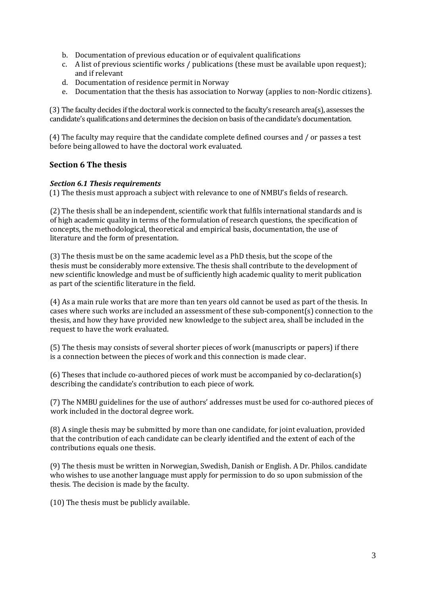- b. Documentation of previous education or of equivalent qualifications
- c. A list of previous scientific works / publications (these must be available upon request); and if relevant
- d. Documentation of residence permit in Norway
- e. Documentation that the thesis has association to Norway (applies to non-Nordic citizens).

(3) The faculty decides if the doctoral work is connected to the faculty's research area(s), assesses the candidate's qualifications and determines the decision on basis of the candidate's documentation.

(4) The faculty may require that the candidate complete defined courses and / or passes a test before being allowed to have the doctoral work evaluated.

# <span id="page-2-0"></span>**Section 6 The thesis**

## <span id="page-2-1"></span>*Section 6.1 Thesis requirements*

(1) The thesis must approach a subject with relevance to one of NMBU's fields of research.

(2) The thesis shall be an independent, scientific work that fulfils international standards and is of high academic quality in terms of the formulation of research questions, the specification of concepts, the methodological, theoretical and empirical basis, documentation, the use of literature and the form of presentation.

(3) The thesis must be on the same academic level as a PhD thesis, but the scope of the thesis must be considerably more extensive. The thesis shall contribute to the development of new scientific knowledge and must be of sufficiently high academic quality to merit publication as part of the scientific literature in the field.

(4) As a main rule works that are more than ten years old cannot be used as part of the thesis. In cases where such works are included an assessment of these sub-component(s) connection to the thesis, and how they have provided new knowledge to the subject area, shall be included in the request to have the work evaluated.

(5) The thesis may consists of several shorter pieces of work (manuscripts or papers) if there is a connection between the pieces of work and this connection is made clear.

(6) Theses that include co-authored pieces of work must be accompanied by co-declaration(s) describing the candidate's contribution to each piece of work.

(7) The NMBU guidelines for the use of authors' addresses must be used for co-authored pieces of work included in the doctoral degree work.

(8) A single thesis may be submitted by more than one candidate, for joint evaluation, provided that the contribution of each candidate can be clearly identified and the extent of each of the contributions equals one thesis.

(9) The thesis must be written in Norwegian, Swedish, Danish or English. A Dr. Philos. candidate who wishes to use another language must apply for permission to do so upon submission of the thesis. The decision is made by the faculty.

(10) The thesis must be publicly available.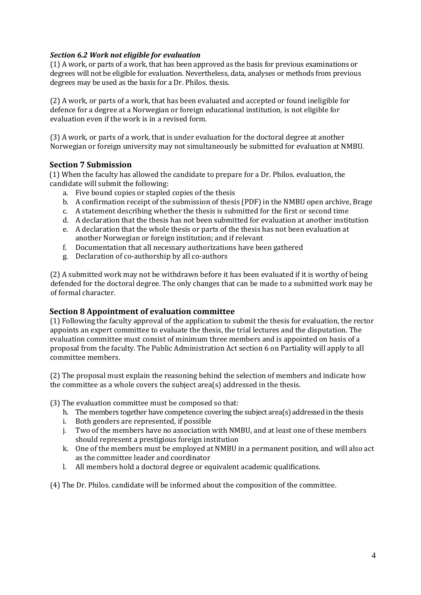# <span id="page-3-0"></span>*Section 6.2 Work not eligible for evaluation*

(1) A work, or parts of a work, that has been approved as the basis for previous examinations or degrees will not be eligible for evaluation. Nevertheless, data, analyses or methods from previous degrees may be used as the basis for a Dr. Philos. thesis.

(2) A work, or parts of a work, that has been evaluated and accepted or found ineligible for defence for a degree at a Norwegian or foreign educational institution, is not eligible for evaluation even if the work is in a revised form.

(3) A work, or parts of a work, that is under evaluation for the doctoral degree at another Norwegian or foreign university may not simultaneously be submitted for evaluation at NMBU.

# <span id="page-3-1"></span>**Section 7 Submission**

(1) When the faculty has allowed the candidate to prepare for a Dr. Philos. evaluation, the candidate will submit the following:

- a. Five bound copies or stapled copies of the thesis
- b. A confirmation receipt of the submission of thesis (PDF) in the NMBU open archive, Brage
- c. A statement describing whether the thesis is submitted for the first or second time
- d. A declaration that the thesis has not been submitted for evaluation at another institution
- e. A declaration that the whole thesis or parts of the thesis has not been evaluation at another Norwegian or foreign institution; and if relevant
- f. Documentation that all necessary authorizations have been gathered
- g. Declaration of co-authorship by all co-authors

(2) A submitted work may not be withdrawn before it has been evaluated if it is worthy of being defended for the doctoral degree. The only changes that can be made to a submitted work may be of formal character.

# <span id="page-3-2"></span>**Section 8 Appointment of evaluation committee**

(1) Following the faculty approval of the application to submit the thesis for evaluation, the rector appoints an expert committee to evaluate the thesis, the trial lectures and the disputation. The evaluation committee must consist of minimum three members and is appointed on basis of a proposal from the faculty. The Public Administration Act section 6 on Partiality will apply to all committee members.

(2) The proposal must explain the reasoning behind the selection of members and indicate how the committee as a whole covers the subject area(s) addressed in the thesis.

(3) The evaluation committee must be composed so that:

- h. The members together have competence covering the subject area(s) addressed in the thesis
- i. Both genders are represented, if possible
- j. Two of the members have no association with NMBU, and at least one of these members should represent a prestigious foreign institution
- k. One of the members must be employed at NMBU in a permanent position, and will also act as the committee leader and coordinator
- l. All members hold a doctoral degree or equivalent academic qualifications.

(4) The Dr. Philos. candidate will be informed about the composition of the committee.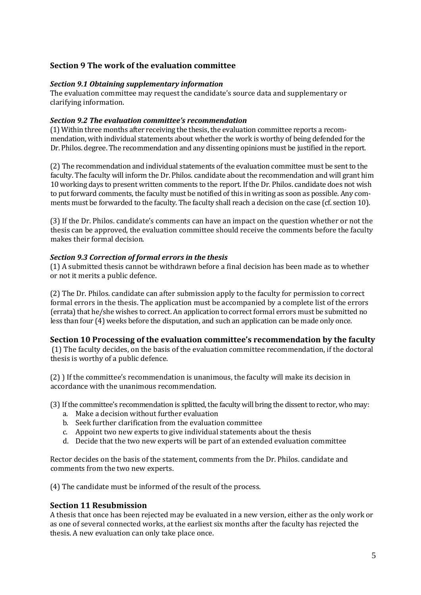# <span id="page-4-0"></span>**Section 9 The work of the evaluation committee**

#### <span id="page-4-1"></span>*Section 9.1 Obtaining supplementary information*

The evaluation committee may request the candidate's source data and supplementary or clarifying information.

#### <span id="page-4-2"></span>*Section 9.2 The evaluation committee's recommendation*

(1) Within three months after receiving the thesis, the evaluation committee reports a recommendation, with individual statements about whether the work is worthy of being defended for the Dr. Philos. degree. The recommendation and any dissenting opinions must be justified in the report.

(2) The recommendation and individual statements of the evaluation committee must be sent to the faculty. The faculty will inform the Dr. Philos. candidate about the recommendation and will grant him 10 working days to present written comments to the report. If the Dr. Philos. candidate does not wish to put forward comments, the faculty must be notified of this in writing as soon as possible. Any comments must be forwarded to the faculty. The faculty shall reach a decision on the case (cf. section 10).

(3) If the Dr. Philos. candidate's comments can have an impact on the question whether or not the thesis can be approved, the evaluation committee should receive the comments before the faculty makes their formal decision.

#### <span id="page-4-3"></span>*Section 9.3 Correction of formal errors in the thesis*

(1) A submitted thesis cannot be withdrawn before a final decision has been made as to whether or not it merits a public defence.

(2) The Dr. Philos. candidate can after submission apply to the faculty for permission to correct formal errors in the thesis. The application must be accompanied by a complete list of the errors (errata) that he/she wishes to correct. An application to correct formal errors must be submitted no less than four (4) weeks before the disputation, and such an application can be made only once.

## <span id="page-4-4"></span>**Section 10 Processing of the evaluation committee's recommendation by the faculty**

(1) The faculty decides, on the basis of the evaluation committee recommendation, if the doctoral thesis is worthy of a public defence.

(2) ) If the committee's recommendation is unanimous, the faculty will make its decision in accordance with the unanimous recommendation.

(3) If the committee's recommendation is splitted, the faculty will bring the dissentto rector, who may:

- a. Make a decision without further evaluation
- b. Seek further clarification from the evaluation committee
- c. Appoint two new experts to give individual statements about the thesis
- d. Decide that the two new experts will be part of an extended evaluation committee

Rector decides on the basis of the statement, comments from the Dr. Philos. candidate and comments from the two new experts.

(4) The candidate must be informed of the result of the process.

## <span id="page-4-5"></span>**Section 11 Resubmission**

A thesis that once has been rejected may be evaluated in a new version, either as the only work or as one of several connected works, at the earliest six months after the faculty has rejected the thesis. A new evaluation can only take place once.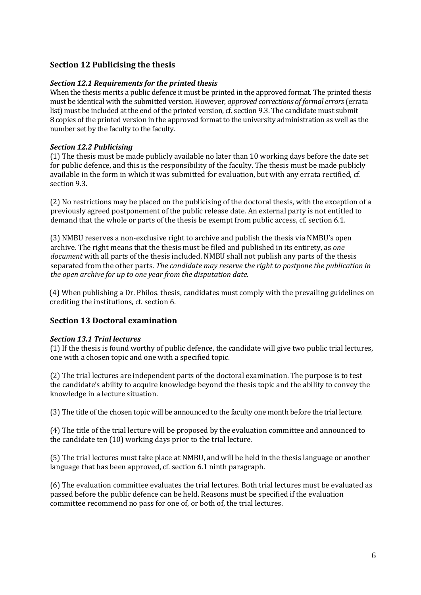# <span id="page-5-0"></span>**Section 12 Publicising the thesis**

# <span id="page-5-1"></span>*Section 12.1 Requirements for the printed thesis*

When the thesis merits a public defence it must be printed in the approved format. The printed thesis must be identical with the submitted version. However, *approved corrections of formal errors*(errata list) must be included at the end of the printed version, cf. section 9.3. The candidate must submit 8 copies of the printed version in the approved format to the university administration as well as the number set by the faculty to the faculty.

# <span id="page-5-2"></span>*Section 12.2 Publicising*

(1) The thesis must be made publicly available no later than 10 working days before the date set for public defence, and this is the responsibility of the faculty. The thesis must be made publicly available in the form in which it was submitted for evaluation, but with any errata rectified, cf. section 9.3.

(2) No restrictions may be placed on the publicising of the doctoral thesis, with the exception of a previously agreed postponement of the public release date. An external party is not entitled to demand that the whole or parts of the thesis be exempt from public access, cf. section 6.1.

(3) NMBU reserves a non-exclusive right to archive and publish the thesis via NMBU's open archive. The right means that the thesis must be filed and published in its entirety, as *one document* with all parts of the thesis included. NMBU shall not publish any parts of the thesis separated from the other parts. *The candidate may reserve the right to postpone the publication in the open archive for up to one year from the disputation date.*

(4) When publishing a Dr. Philos. thesis, candidates must comply with the prevailing guidelines on crediting the institutions, cf. section 6.

# <span id="page-5-3"></span>**Section 13 Doctoral examination**

## <span id="page-5-4"></span>*Section 13.1 Trial lectures*

(1) If the thesis is found worthy of public defence, the candidate will give two public trial lectures, one with a chosen topic and one with a specified topic.

(2) The trial lectures are independent parts of the doctoral examination. The purpose is to test the candidate's ability to acquire knowledge beyond the thesis topic and the ability to convey the knowledge in a lecture situation.

(3) The title of the chosen topic will be announced to the faculty one month before the trial lecture.

(4) The title of the trial lecture will be proposed by the evaluation committee and announced to the candidate ten (10) working days prior to the trial lecture.

(5) The trial lectures must take place at NMBU, and will be held in the thesis language or another language that has been approved, cf. section 6.1 ninth paragraph.

(6) The evaluation committee evaluates the trial lectures. Both trial lectures must be evaluated as passed before the public defence can be held. Reasons must be specified if the evaluation committee recommend no pass for one of, or both of, the trial lectures.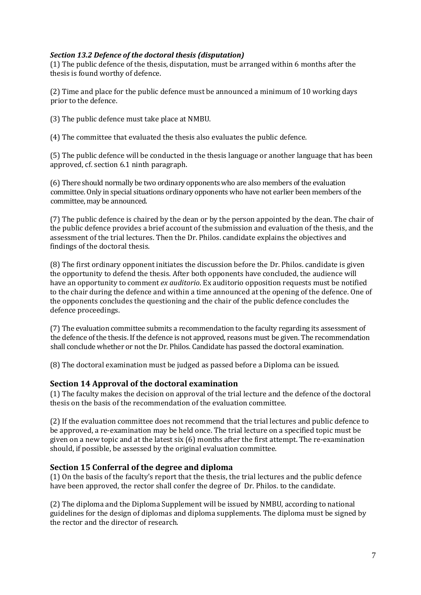# <span id="page-6-0"></span>*Section 13.2 Defence of the doctoral thesis (disputation)*

(1) The public defence of the thesis, disputation, must be arranged within 6 months after the thesis is found worthy of defence.

(2) Time and place for the public defence must be announced a minimum of 10 working days prior to the defence.

(3) The public defence must take place at NMBU.

(4) The committee that evaluated the thesis also evaluates the public defence.

(5) The public defence will be conducted in the thesis language or another language that has been approved, cf. section 6.1 ninth paragraph.

(6) There should normally be two ordinary opponents who are also members of the evaluation committee. Only in special situations ordinary opponents who have not earlier been members of the committee, may be announced.

(7) The public defence is chaired by the dean or by the person appointed by the dean. The chair of the public defence provides a brief account of the submission and evaluation of the thesis, and the assessment of the trial lectures. Then the Dr. Philos. candidate explains the objectives and findings of the doctoral thesis.

(8) The first ordinary opponent initiates the discussion before the Dr. Philos. candidate is given the opportunity to defend the thesis. After both opponents have concluded, the audience will have an opportunity to comment *ex auditorio*. Ex auditorio opposition requests must be notified to the chair during the defence and within a time announced at the opening of the defence. One of the opponents concludes the questioning and the chair of the public defence concludes the defence proceedings.

(7) The evaluation committee submits a recommendation to the faculty regarding its assessment of the defence of the thesis. If the defence is not approved, reasons must be given. The recommendation shall conclude whether or not the Dr. Philos. Candidate has passed the doctoral examination.

(8) The doctoral examination must be judged as passed before a Diploma can be issued.

## <span id="page-6-1"></span>**Section 14 Approval of the doctoral examination**

(1) The faculty makes the decision on approval of the trial lecture and the defence of the doctoral thesis on the basis of the recommendation of the evaluation committee.

(2) If the evaluation committee does not recommend that the trial lectures and public defence to be approved, a re-examination may be held once. The trial lecture on a specified topic must be given on a new topic and at the latest six (6) months after the first attempt. The re-examination should, if possible, be assessed by the original evaluation committee.

## <span id="page-6-2"></span>**Section 15 Conferral of the degree and diploma**

(1) On the basis of the faculty's report that the thesis, the trial lectures and the public defence have been approved, the rector shall confer the degree of Dr. Philos. to the candidate.

(2) The diploma and the Diploma Supplement will be issued by NMBU, according to national guidelines for the design of diplomas and diploma supplements. The diploma must be signed by the rector and the director of research.